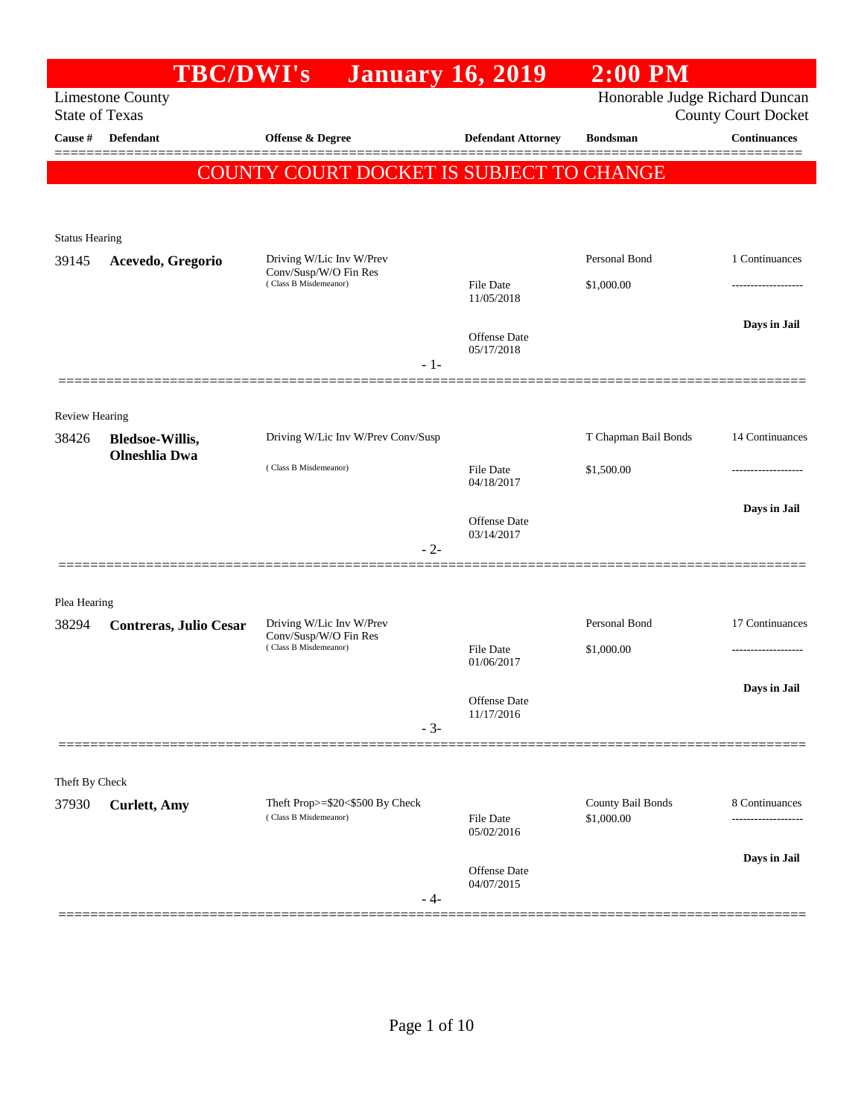|                       | <b>TBC/DWI's</b>        | <b>January 16, 2019</b>                                  |                            | $2:00$ PM                       |                            |
|-----------------------|-------------------------|----------------------------------------------------------|----------------------------|---------------------------------|----------------------------|
|                       | <b>Limestone County</b> |                                                          |                            | Honorable Judge Richard Duncan  |                            |
| <b>State of Texas</b> |                         |                                                          |                            |                                 | <b>County Court Docket</b> |
| Cause #               | Defendant               | Offense & Degree                                         | <b>Defendant Attorney</b>  | <b>Bondsman</b>                 | <b>Continuances</b>        |
|                       |                         | COUNTY COURT DOCKET IS SUBJECT TO CHANGE                 |                            |                                 |                            |
|                       |                         |                                                          |                            |                                 |                            |
|                       |                         |                                                          |                            |                                 |                            |
| <b>Status Hearing</b> |                         |                                                          |                            | Personal Bond                   | 1 Continuances             |
| 39145                 | Acevedo, Gregorio       | Driving W/Lic Inv W/Prev<br>Conv/Susp/W/O Fin Res        |                            |                                 |                            |
|                       |                         | (Class B Misdemeanor)                                    | File Date<br>11/05/2018    | \$1,000.00                      |                            |
|                       |                         |                                                          |                            |                                 | Days in Jail               |
|                       |                         |                                                          | Offense Date<br>05/17/2018 |                                 |                            |
|                       |                         | $-1-$                                                    |                            |                                 |                            |
|                       |                         |                                                          |                            |                                 |                            |
| Review Hearing        |                         |                                                          |                            |                                 |                            |
| 38426                 | <b>Bledsoe-Willis,</b>  | Driving W/Lic Inv W/Prev Conv/Susp                       |                            | T Chapman Bail Bonds            | 14 Continuances            |
|                       | <b>Olneshlia</b> Dwa    | (Class B Misdemeanor)                                    | <b>File Date</b>           | \$1,500.00                      | -------------------        |
|                       |                         |                                                          | 04/18/2017                 |                                 |                            |
|                       |                         |                                                          | Offense Date               |                                 | Days in Jail               |
|                       |                         | $-2-$                                                    | 03/14/2017                 |                                 |                            |
|                       |                         |                                                          |                            |                                 |                            |
| Plea Hearing          |                         |                                                          |                            |                                 |                            |
| 38294                 | Contreras, Julio Cesar  | Driving W/Lic Inv W/Prev                                 |                            | Personal Bond                   | 17 Continuances            |
|                       |                         | Conv/Susp/W/O Fin Res<br>(Class B Misdemeanor)           | <b>File Date</b>           | \$1,000.00                      |                            |
|                       |                         |                                                          | 01/06/2017                 |                                 |                            |
|                       |                         |                                                          |                            |                                 | Days in Jail               |
|                       |                         |                                                          | Offense Date<br>11/17/2016 |                                 |                            |
|                       |                         | $-3-$                                                    |                            |                                 |                            |
|                       |                         |                                                          |                            |                                 |                            |
| Theft By Check        |                         |                                                          |                            |                                 |                            |
| 37930                 | <b>Curlett</b> , Amy    | Theft Prop>=\$20<\$500 By Check<br>(Class B Misdemeanor) | <b>File Date</b>           | County Bail Bonds<br>\$1,000.00 | 8 Continuances<br>         |
|                       |                         |                                                          | 05/02/2016                 |                                 |                            |
|                       |                         |                                                          | Offense Date               |                                 | Days in Jail               |
|                       |                         |                                                          | 04/07/2015                 |                                 |                            |
|                       |                         | - 4-                                                     |                            |                                 |                            |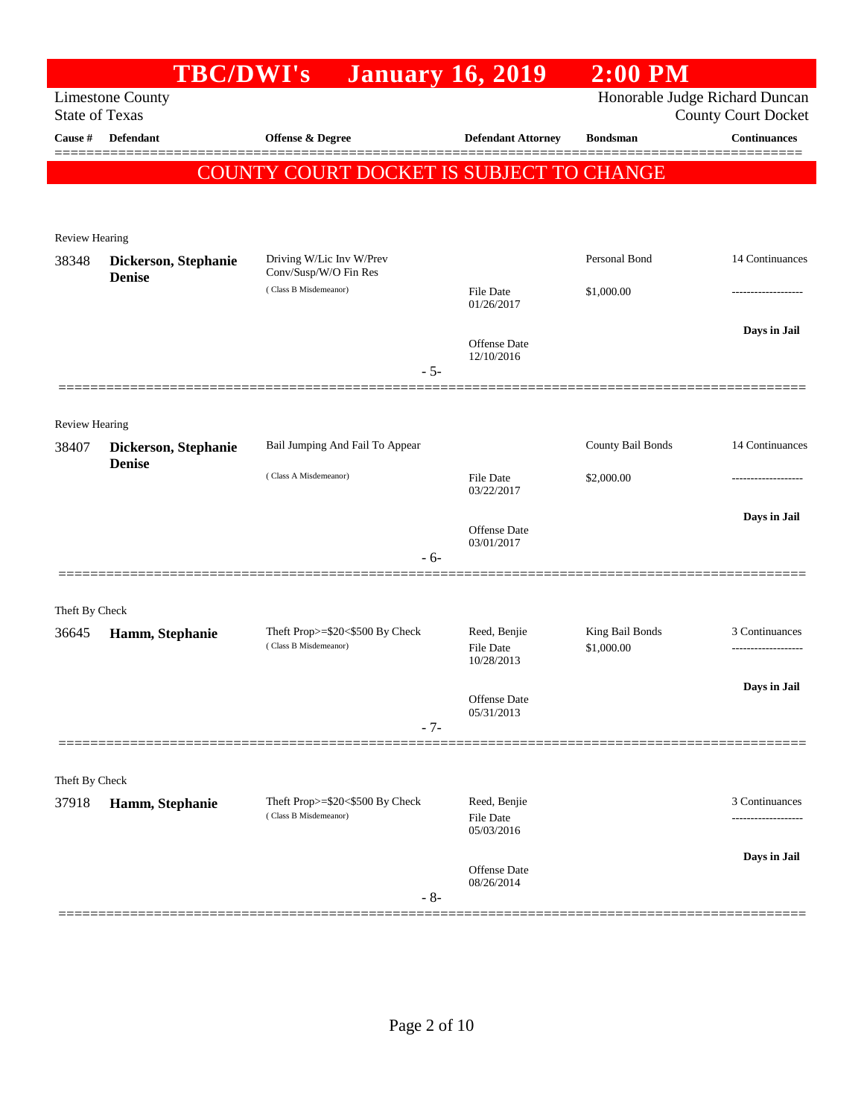|                       | <b>TBC/DWI's</b>                      |                                                          | <b>January 16, 2019</b>    | $2:00$ PM                      |                            |
|-----------------------|---------------------------------------|----------------------------------------------------------|----------------------------|--------------------------------|----------------------------|
| <b>State of Texas</b> | <b>Limestone County</b>               |                                                          |                            | Honorable Judge Richard Duncan | <b>County Court Docket</b> |
| Cause #               | Defendant                             | Offense & Degree                                         | <b>Defendant Attorney</b>  | <b>Bondsman</b>                | <b>Continuances</b>        |
|                       |                                       | COUNTY COURT DOCKET IS SUBJECT TO CHANGE                 |                            |                                |                            |
|                       |                                       |                                                          |                            |                                |                            |
|                       |                                       |                                                          |                            |                                |                            |
| <b>Review Hearing</b> |                                       |                                                          |                            |                                |                            |
| 38348                 | Dickerson, Stephanie<br><b>Denise</b> | Driving W/Lic Inv W/Prev<br>Conv/Susp/W/O Fin Res        |                            | Personal Bond                  | 14 Continuances            |
|                       |                                       | (Class B Misdemeanor)                                    | File Date<br>01/26/2017    | \$1,000.00                     | -----------------          |
|                       |                                       |                                                          |                            |                                | Days in Jail               |
|                       |                                       |                                                          | Offense Date<br>12/10/2016 |                                |                            |
|                       |                                       | $-5-$                                                    |                            |                                |                            |
|                       |                                       |                                                          |                            |                                |                            |
| <b>Review Hearing</b> |                                       |                                                          |                            |                                |                            |
| 38407                 | Dickerson, Stephanie                  | Bail Jumping And Fail To Appear                          |                            | County Bail Bonds              | 14 Continuances            |
|                       | <b>Denise</b>                         | (Class A Misdemeanor)                                    | File Date                  | \$2,000.00                     |                            |
|                       |                                       |                                                          | 03/22/2017                 |                                |                            |
|                       |                                       |                                                          | Offense Date               |                                | Days in Jail               |
|                       |                                       | $-6-$                                                    | 03/01/2017                 |                                |                            |
|                       |                                       |                                                          |                            |                                |                            |
| Theft By Check        |                                       |                                                          |                            |                                |                            |
| 36645                 | Hamm, Stephanie                       | Theft Prop>=\$20<\$500 By Check<br>(Class B Misdemeanor) | Reed, Benjie               | King Bail Bonds                | 3 Continuances             |
|                       |                                       |                                                          | File Date<br>10/28/2013    | \$1,000.00                     |                            |
|                       |                                       |                                                          |                            |                                | Days in Jail               |
|                       |                                       |                                                          | Offense Date<br>05/31/2013 |                                |                            |
|                       |                                       | $-7-$                                                    |                            |                                |                            |
|                       |                                       |                                                          |                            |                                |                            |
| Theft By Check        |                                       | Theft Prop>=\$20<\$500 By Check                          | Reed, Benjie               |                                | 3 Continuances             |
| 37918                 | Hamm, Stephanie                       | (Class B Misdemeanor)                                    | File Date                  |                                |                            |
|                       |                                       |                                                          | 05/03/2016                 |                                |                            |
|                       |                                       |                                                          | <b>Offense</b> Date        |                                | Days in Jail               |
|                       |                                       | $-8-$                                                    | 08/26/2014                 |                                |                            |
|                       |                                       |                                                          |                            |                                |                            |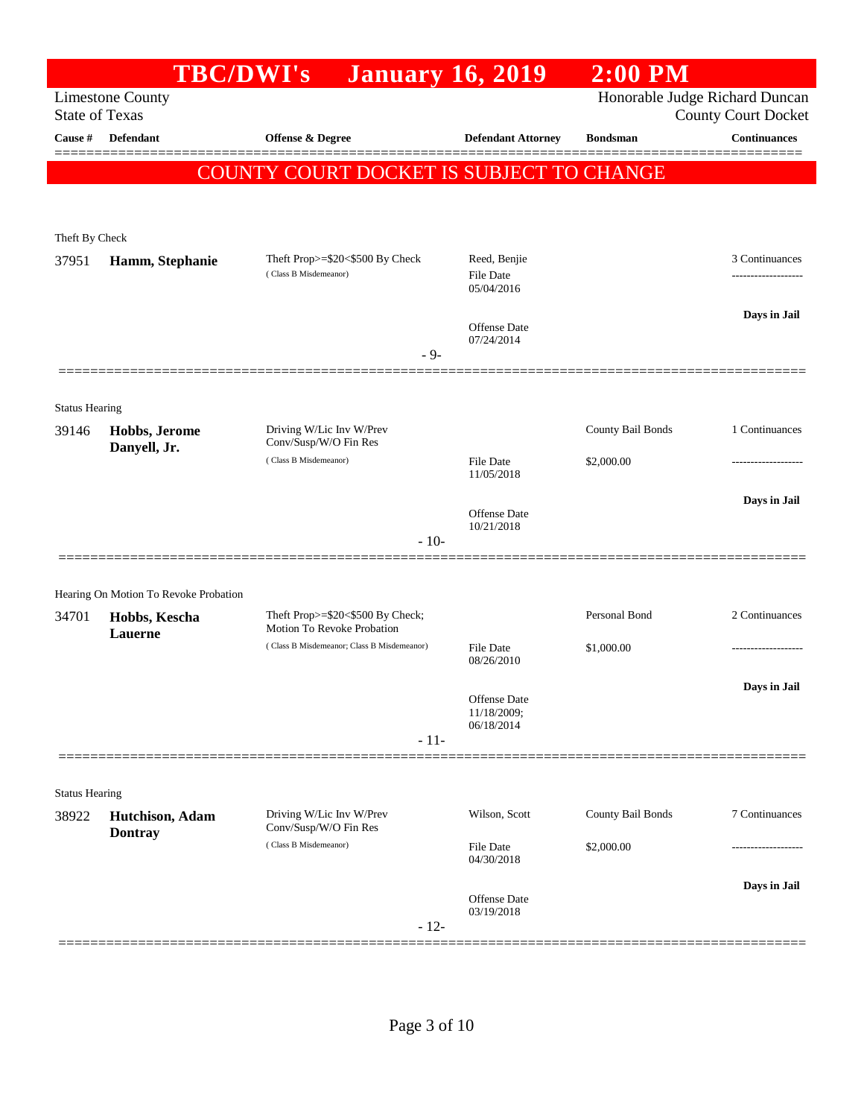|                         | <b>TBC/DWI's</b>                      | <b>January 16, 2019</b>                           |                                   | <b>2:00 PM</b>                 |                            |
|-------------------------|---------------------------------------|---------------------------------------------------|-----------------------------------|--------------------------------|----------------------------|
| <b>State of Texas</b>   | <b>Limestone County</b>               |                                                   |                                   | Honorable Judge Richard Duncan | <b>County Court Docket</b> |
| Cause #                 | <b>Defendant</b>                      | <b>Offense &amp; Degree</b>                       | <b>Defendant Attorney</b>         | <b>Bondsman</b>                | <b>Continuances</b>        |
|                         |                                       | COUNTY COURT DOCKET IS SUBJECT TO CHANGE          |                                   |                                |                            |
|                         |                                       |                                                   |                                   |                                |                            |
|                         |                                       |                                                   |                                   |                                |                            |
| Theft By Check<br>37951 |                                       | Theft Prop>=\$20<\$500 By Check                   | Reed, Benjie                      |                                | 3 Continuances             |
|                         | Hamm, Stephanie                       | (Class B Misdemeanor)                             | File Date                         |                                | ------------------         |
|                         |                                       |                                                   | 05/04/2016                        |                                | Days in Jail               |
|                         |                                       |                                                   | <b>Offense Date</b><br>07/24/2014 |                                |                            |
|                         |                                       | $-9-$                                             |                                   |                                |                            |
|                         |                                       |                                                   |                                   |                                |                            |
| <b>Status Hearing</b>   |                                       |                                                   |                                   |                                |                            |
| 39146                   | Hobbs, Jerome<br>Danyell, Jr.         | Driving W/Lic Inv W/Prev<br>Conv/Susp/W/O Fin Res |                                   | County Bail Bonds              | 1 Continuances             |
|                         |                                       | (Class B Misdemeanor)                             | <b>File Date</b><br>11/05/2018    | \$2,000.00                     |                            |
|                         |                                       |                                                   |                                   |                                | Days in Jail               |
|                         |                                       |                                                   | <b>Offense Date</b><br>10/21/2018 |                                |                            |
|                         |                                       | $-10-$                                            |                                   |                                |                            |
|                         |                                       |                                                   |                                   |                                |                            |
|                         | Hearing On Motion To Revoke Probation | Theft Prop>=\$20<\$500 By Check;                  |                                   | Personal Bond                  | 2 Continuances             |
| 34701                   | Hobbs, Kescha<br>Lauerne              | Motion To Revoke Probation                        |                                   |                                |                            |
|                         |                                       | (Class B Misdemeanor; Class B Misdemeanor)        | <b>File Date</b><br>08/26/2010    | \$1,000.00                     |                            |
|                         |                                       |                                                   |                                   |                                | Days in Jail               |
|                         |                                       |                                                   | Offense Date<br>11/18/2009;       |                                |                            |
|                         |                                       | $-11-$                                            | 06/18/2014                        |                                |                            |
|                         |                                       |                                                   |                                   |                                |                            |
| <b>Status Hearing</b>   |                                       |                                                   |                                   |                                |                            |
| 38922                   | Hutchison, Adam<br><b>Dontray</b>     | Driving W/Lic Inv W/Prev<br>Conv/Susp/W/O Fin Res | Wilson, Scott                     | County Bail Bonds              | 7 Continuances             |
|                         |                                       | (Class B Misdemeanor)                             | <b>File Date</b><br>04/30/2018    | \$2,000.00                     | ----------------           |
|                         |                                       |                                                   |                                   |                                | Days in Jail               |
|                         |                                       |                                                   | Offense Date<br>03/19/2018        |                                |                            |
|                         |                                       | $-12-$                                            |                                   |                                |                            |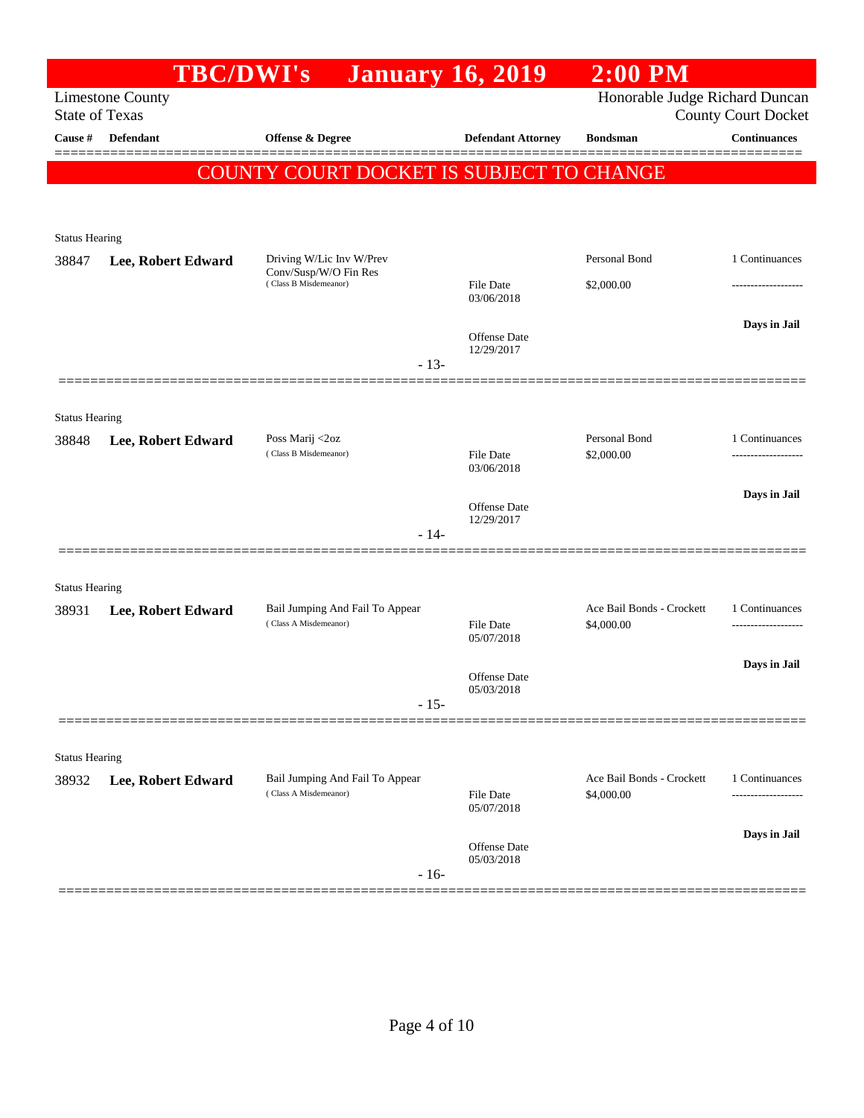| Honorable Judge Richard Duncan<br><b>Limestone County</b><br><b>State of Texas</b><br><b>County Court Docket</b><br><b>Continuances</b><br>Defendant<br>Offense & Degree<br><b>Defendant Attorney</b><br><b>Bondsman</b><br>========<br>COUNTY COURT DOCKET IS SUBJECT TO CHANGE<br><b>Status Hearing</b><br>Personal Bond<br>1 Continuances<br>Driving W/Lic Inv W/Prev<br>38847<br>Lee, Robert Edward<br>Conv/Susp/W/O Fin Res<br>(Class B Misdemeanor)<br>\$2,000.00<br><b>File Date</b><br>------------------<br>03/06/2018<br>Days in Jail<br>Offense Date<br>12/29/2017<br>$-13-$<br><b>Status Hearing</b><br>Personal Bond<br>1 Continuances<br>Poss Marij <2oz<br>38848<br>Lee, Robert Edward<br>(Class B Misdemeanor)<br><b>File Date</b><br>\$2,000.00<br>03/06/2018<br>Days in Jail<br>Offense Date<br>12/29/2017<br>$-14-$<br><b>Status Hearing</b><br>Ace Bail Bonds - Crockett<br>1 Continuances<br>Bail Jumping And Fail To Appear<br>38931<br>Lee, Robert Edward<br>(Class A Misdemeanor)<br><b>File Date</b><br>\$4,000.00<br>05/07/2018<br>Days in Jail<br>Offense Date<br>05/03/2018<br>$-15-$<br><b>Status Hearing</b><br>Bail Jumping And Fail To Appear<br>Ace Bail Bonds - Crockett<br>1 Continuances<br>Lee, Robert Edward<br>(Class A Misdemeanor)<br>\$4,000.00<br>File Date<br>------------------<br>05/07/2018<br>Days in Jail<br>Offense Date<br>05/03/2018<br>$-16-$ |         | <b>TBC/DWI's</b> | <b>January 16, 2019</b> | $2:00$ PM |  |
|----------------------------------------------------------------------------------------------------------------------------------------------------------------------------------------------------------------------------------------------------------------------------------------------------------------------------------------------------------------------------------------------------------------------------------------------------------------------------------------------------------------------------------------------------------------------------------------------------------------------------------------------------------------------------------------------------------------------------------------------------------------------------------------------------------------------------------------------------------------------------------------------------------------------------------------------------------------------------------------------------------------------------------------------------------------------------------------------------------------------------------------------------------------------------------------------------------------------------------------------------------------------------------------------------------------------------------------------------------------------------------------------------|---------|------------------|-------------------------|-----------|--|
|                                                                                                                                                                                                                                                                                                                                                                                                                                                                                                                                                                                                                                                                                                                                                                                                                                                                                                                                                                                                                                                                                                                                                                                                                                                                                                                                                                                                    |         |                  |                         |           |  |
|                                                                                                                                                                                                                                                                                                                                                                                                                                                                                                                                                                                                                                                                                                                                                                                                                                                                                                                                                                                                                                                                                                                                                                                                                                                                                                                                                                                                    | Cause # |                  |                         |           |  |
|                                                                                                                                                                                                                                                                                                                                                                                                                                                                                                                                                                                                                                                                                                                                                                                                                                                                                                                                                                                                                                                                                                                                                                                                                                                                                                                                                                                                    |         |                  |                         |           |  |
|                                                                                                                                                                                                                                                                                                                                                                                                                                                                                                                                                                                                                                                                                                                                                                                                                                                                                                                                                                                                                                                                                                                                                                                                                                                                                                                                                                                                    |         |                  |                         |           |  |
|                                                                                                                                                                                                                                                                                                                                                                                                                                                                                                                                                                                                                                                                                                                                                                                                                                                                                                                                                                                                                                                                                                                                                                                                                                                                                                                                                                                                    |         |                  |                         |           |  |
|                                                                                                                                                                                                                                                                                                                                                                                                                                                                                                                                                                                                                                                                                                                                                                                                                                                                                                                                                                                                                                                                                                                                                                                                                                                                                                                                                                                                    |         |                  |                         |           |  |
|                                                                                                                                                                                                                                                                                                                                                                                                                                                                                                                                                                                                                                                                                                                                                                                                                                                                                                                                                                                                                                                                                                                                                                                                                                                                                                                                                                                                    |         |                  |                         |           |  |
|                                                                                                                                                                                                                                                                                                                                                                                                                                                                                                                                                                                                                                                                                                                                                                                                                                                                                                                                                                                                                                                                                                                                                                                                                                                                                                                                                                                                    |         |                  |                         |           |  |
|                                                                                                                                                                                                                                                                                                                                                                                                                                                                                                                                                                                                                                                                                                                                                                                                                                                                                                                                                                                                                                                                                                                                                                                                                                                                                                                                                                                                    |         |                  |                         |           |  |
|                                                                                                                                                                                                                                                                                                                                                                                                                                                                                                                                                                                                                                                                                                                                                                                                                                                                                                                                                                                                                                                                                                                                                                                                                                                                                                                                                                                                    |         |                  |                         |           |  |
|                                                                                                                                                                                                                                                                                                                                                                                                                                                                                                                                                                                                                                                                                                                                                                                                                                                                                                                                                                                                                                                                                                                                                                                                                                                                                                                                                                                                    |         |                  |                         |           |  |
|                                                                                                                                                                                                                                                                                                                                                                                                                                                                                                                                                                                                                                                                                                                                                                                                                                                                                                                                                                                                                                                                                                                                                                                                                                                                                                                                                                                                    |         |                  |                         |           |  |
|                                                                                                                                                                                                                                                                                                                                                                                                                                                                                                                                                                                                                                                                                                                                                                                                                                                                                                                                                                                                                                                                                                                                                                                                                                                                                                                                                                                                    |         |                  |                         |           |  |
|                                                                                                                                                                                                                                                                                                                                                                                                                                                                                                                                                                                                                                                                                                                                                                                                                                                                                                                                                                                                                                                                                                                                                                                                                                                                                                                                                                                                    |         |                  |                         |           |  |
|                                                                                                                                                                                                                                                                                                                                                                                                                                                                                                                                                                                                                                                                                                                                                                                                                                                                                                                                                                                                                                                                                                                                                                                                                                                                                                                                                                                                    |         |                  |                         |           |  |
|                                                                                                                                                                                                                                                                                                                                                                                                                                                                                                                                                                                                                                                                                                                                                                                                                                                                                                                                                                                                                                                                                                                                                                                                                                                                                                                                                                                                    |         |                  |                         |           |  |
|                                                                                                                                                                                                                                                                                                                                                                                                                                                                                                                                                                                                                                                                                                                                                                                                                                                                                                                                                                                                                                                                                                                                                                                                                                                                                                                                                                                                    |         |                  |                         |           |  |
|                                                                                                                                                                                                                                                                                                                                                                                                                                                                                                                                                                                                                                                                                                                                                                                                                                                                                                                                                                                                                                                                                                                                                                                                                                                                                                                                                                                                    |         |                  |                         |           |  |
|                                                                                                                                                                                                                                                                                                                                                                                                                                                                                                                                                                                                                                                                                                                                                                                                                                                                                                                                                                                                                                                                                                                                                                                                                                                                                                                                                                                                    |         |                  |                         |           |  |
|                                                                                                                                                                                                                                                                                                                                                                                                                                                                                                                                                                                                                                                                                                                                                                                                                                                                                                                                                                                                                                                                                                                                                                                                                                                                                                                                                                                                    |         |                  |                         |           |  |
|                                                                                                                                                                                                                                                                                                                                                                                                                                                                                                                                                                                                                                                                                                                                                                                                                                                                                                                                                                                                                                                                                                                                                                                                                                                                                                                                                                                                    |         |                  |                         |           |  |
|                                                                                                                                                                                                                                                                                                                                                                                                                                                                                                                                                                                                                                                                                                                                                                                                                                                                                                                                                                                                                                                                                                                                                                                                                                                                                                                                                                                                    |         |                  |                         |           |  |
|                                                                                                                                                                                                                                                                                                                                                                                                                                                                                                                                                                                                                                                                                                                                                                                                                                                                                                                                                                                                                                                                                                                                                                                                                                                                                                                                                                                                    |         |                  |                         |           |  |
|                                                                                                                                                                                                                                                                                                                                                                                                                                                                                                                                                                                                                                                                                                                                                                                                                                                                                                                                                                                                                                                                                                                                                                                                                                                                                                                                                                                                    |         |                  |                         |           |  |
|                                                                                                                                                                                                                                                                                                                                                                                                                                                                                                                                                                                                                                                                                                                                                                                                                                                                                                                                                                                                                                                                                                                                                                                                                                                                                                                                                                                                    |         |                  |                         |           |  |
|                                                                                                                                                                                                                                                                                                                                                                                                                                                                                                                                                                                                                                                                                                                                                                                                                                                                                                                                                                                                                                                                                                                                                                                                                                                                                                                                                                                                    |         |                  |                         |           |  |
|                                                                                                                                                                                                                                                                                                                                                                                                                                                                                                                                                                                                                                                                                                                                                                                                                                                                                                                                                                                                                                                                                                                                                                                                                                                                                                                                                                                                    | 38932   |                  |                         |           |  |
|                                                                                                                                                                                                                                                                                                                                                                                                                                                                                                                                                                                                                                                                                                                                                                                                                                                                                                                                                                                                                                                                                                                                                                                                                                                                                                                                                                                                    |         |                  |                         |           |  |
|                                                                                                                                                                                                                                                                                                                                                                                                                                                                                                                                                                                                                                                                                                                                                                                                                                                                                                                                                                                                                                                                                                                                                                                                                                                                                                                                                                                                    |         |                  |                         |           |  |
|                                                                                                                                                                                                                                                                                                                                                                                                                                                                                                                                                                                                                                                                                                                                                                                                                                                                                                                                                                                                                                                                                                                                                                                                                                                                                                                                                                                                    |         |                  |                         |           |  |
|                                                                                                                                                                                                                                                                                                                                                                                                                                                                                                                                                                                                                                                                                                                                                                                                                                                                                                                                                                                                                                                                                                                                                                                                                                                                                                                                                                                                    |         |                  |                         |           |  |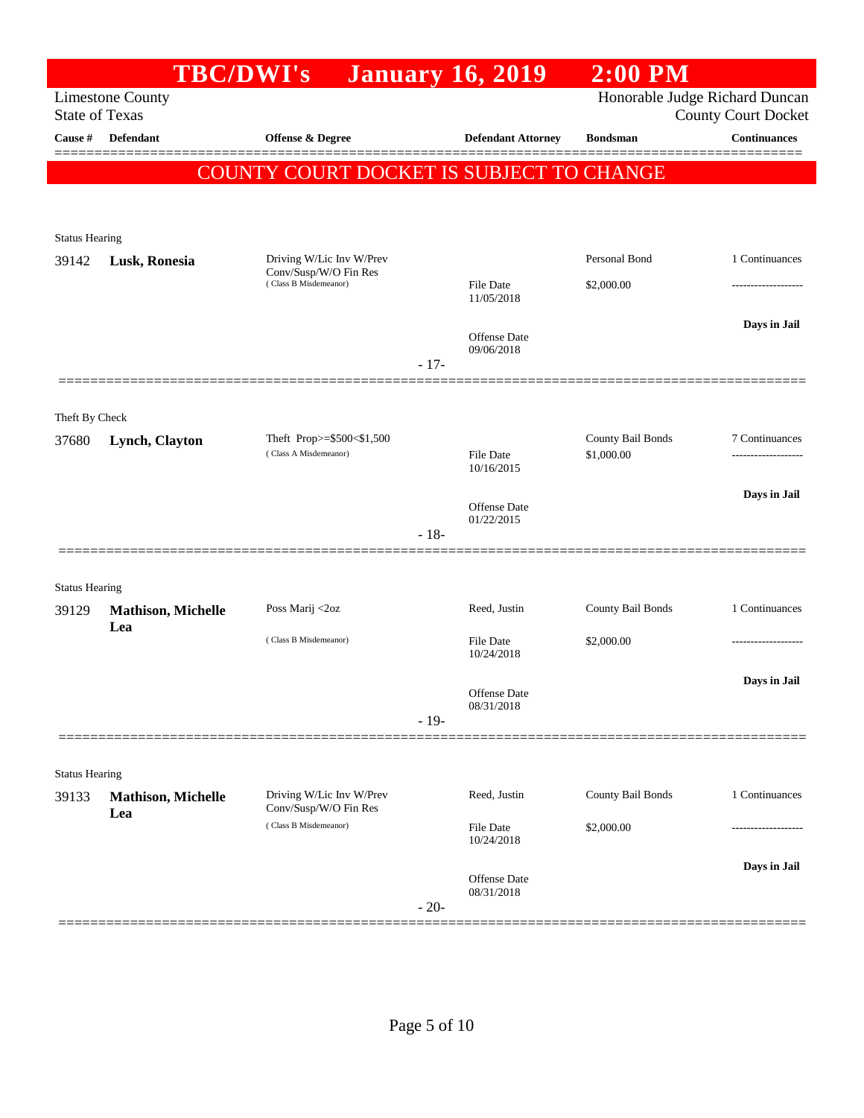| Honorable Judge Richard Duncan<br><b>Limestone County</b><br><b>State of Texas</b><br><b>County Court Docket</b><br><b>Continuances</b><br>Cause #<br>Defendant<br>Offense & Degree<br><b>Defendant Attorney</b><br><b>Bondsman</b><br>COUNTY COURT DOCKET IS SUBJECT TO CHANGE<br><b>Status Hearing</b><br>Personal Bond<br>1 Continuances<br>Driving W/Lic Inv W/Prev<br>39142<br>Lusk, Ronesia<br>Conv/Susp/W/O Fin Res<br>(Class B Misdemeanor)<br>File Date<br>\$2,000.00<br>11/05/2018<br>Days in Jail<br>Offense Date<br>09/06/2018<br>$-17-$<br>Theft By Check<br>County Bail Bonds<br>Theft Prop>=\$500<\$1,500<br>7 Continuances<br>Lynch, Clayton<br>(Class A Misdemeanor)<br>\$1,000.00<br>File Date<br>.<br>10/16/2015<br>Days in Jail<br><b>Offense</b> Date<br>01/22/2015<br>$-18-$<br><b>Status Hearing</b><br>County Bail Bonds<br>1 Continuances<br>Poss Marij <2oz<br>Reed, Justin<br>39129<br><b>Mathison, Michelle</b><br>Lea<br>(Class B Misdemeanor)<br>\$2,000.00<br>File Date<br>10/24/2018<br>Days in Jail<br>Offense Date<br>08/31/2018<br>$-19-$<br><b>Status Hearing</b><br>Driving W/Lic Inv W/Prev<br>County Bail Bonds<br>1 Continuances<br>Reed, Justin<br><b>Mathison, Michelle</b><br>Conv/Susp/W/O Fin Res<br>Lea<br>(Class B Misdemeanor)<br>File Date<br>\$2,000.00<br>10/24/2018<br>Days in Jail<br>Offense Date<br>08/31/2018<br>$-20-$ |       | <b>TBC/DWI's</b> | <b>January 16, 2019</b> | $2:00$ PM |  |
|---------------------------------------------------------------------------------------------------------------------------------------------------------------------------------------------------------------------------------------------------------------------------------------------------------------------------------------------------------------------------------------------------------------------------------------------------------------------------------------------------------------------------------------------------------------------------------------------------------------------------------------------------------------------------------------------------------------------------------------------------------------------------------------------------------------------------------------------------------------------------------------------------------------------------------------------------------------------------------------------------------------------------------------------------------------------------------------------------------------------------------------------------------------------------------------------------------------------------------------------------------------------------------------------------------------------------------------------------------------------------------|-------|------------------|-------------------------|-----------|--|
|                                                                                                                                                                                                                                                                                                                                                                                                                                                                                                                                                                                                                                                                                                                                                                                                                                                                                                                                                                                                                                                                                                                                                                                                                                                                                                                                                                                 |       |                  |                         |           |  |
|                                                                                                                                                                                                                                                                                                                                                                                                                                                                                                                                                                                                                                                                                                                                                                                                                                                                                                                                                                                                                                                                                                                                                                                                                                                                                                                                                                                 |       |                  |                         |           |  |
|                                                                                                                                                                                                                                                                                                                                                                                                                                                                                                                                                                                                                                                                                                                                                                                                                                                                                                                                                                                                                                                                                                                                                                                                                                                                                                                                                                                 |       |                  |                         |           |  |
|                                                                                                                                                                                                                                                                                                                                                                                                                                                                                                                                                                                                                                                                                                                                                                                                                                                                                                                                                                                                                                                                                                                                                                                                                                                                                                                                                                                 |       |                  |                         |           |  |
|                                                                                                                                                                                                                                                                                                                                                                                                                                                                                                                                                                                                                                                                                                                                                                                                                                                                                                                                                                                                                                                                                                                                                                                                                                                                                                                                                                                 |       |                  |                         |           |  |
|                                                                                                                                                                                                                                                                                                                                                                                                                                                                                                                                                                                                                                                                                                                                                                                                                                                                                                                                                                                                                                                                                                                                                                                                                                                                                                                                                                                 |       |                  |                         |           |  |
|                                                                                                                                                                                                                                                                                                                                                                                                                                                                                                                                                                                                                                                                                                                                                                                                                                                                                                                                                                                                                                                                                                                                                                                                                                                                                                                                                                                 |       |                  |                         |           |  |
|                                                                                                                                                                                                                                                                                                                                                                                                                                                                                                                                                                                                                                                                                                                                                                                                                                                                                                                                                                                                                                                                                                                                                                                                                                                                                                                                                                                 |       |                  |                         |           |  |
|                                                                                                                                                                                                                                                                                                                                                                                                                                                                                                                                                                                                                                                                                                                                                                                                                                                                                                                                                                                                                                                                                                                                                                                                                                                                                                                                                                                 |       |                  |                         |           |  |
|                                                                                                                                                                                                                                                                                                                                                                                                                                                                                                                                                                                                                                                                                                                                                                                                                                                                                                                                                                                                                                                                                                                                                                                                                                                                                                                                                                                 |       |                  |                         |           |  |
|                                                                                                                                                                                                                                                                                                                                                                                                                                                                                                                                                                                                                                                                                                                                                                                                                                                                                                                                                                                                                                                                                                                                                                                                                                                                                                                                                                                 |       |                  |                         |           |  |
|                                                                                                                                                                                                                                                                                                                                                                                                                                                                                                                                                                                                                                                                                                                                                                                                                                                                                                                                                                                                                                                                                                                                                                                                                                                                                                                                                                                 |       |                  |                         |           |  |
|                                                                                                                                                                                                                                                                                                                                                                                                                                                                                                                                                                                                                                                                                                                                                                                                                                                                                                                                                                                                                                                                                                                                                                                                                                                                                                                                                                                 |       |                  |                         |           |  |
|                                                                                                                                                                                                                                                                                                                                                                                                                                                                                                                                                                                                                                                                                                                                                                                                                                                                                                                                                                                                                                                                                                                                                                                                                                                                                                                                                                                 |       |                  |                         |           |  |
|                                                                                                                                                                                                                                                                                                                                                                                                                                                                                                                                                                                                                                                                                                                                                                                                                                                                                                                                                                                                                                                                                                                                                                                                                                                                                                                                                                                 | 37680 |                  |                         |           |  |
|                                                                                                                                                                                                                                                                                                                                                                                                                                                                                                                                                                                                                                                                                                                                                                                                                                                                                                                                                                                                                                                                                                                                                                                                                                                                                                                                                                                 |       |                  |                         |           |  |
|                                                                                                                                                                                                                                                                                                                                                                                                                                                                                                                                                                                                                                                                                                                                                                                                                                                                                                                                                                                                                                                                                                                                                                                                                                                                                                                                                                                 |       |                  |                         |           |  |
|                                                                                                                                                                                                                                                                                                                                                                                                                                                                                                                                                                                                                                                                                                                                                                                                                                                                                                                                                                                                                                                                                                                                                                                                                                                                                                                                                                                 |       |                  |                         |           |  |
|                                                                                                                                                                                                                                                                                                                                                                                                                                                                                                                                                                                                                                                                                                                                                                                                                                                                                                                                                                                                                                                                                                                                                                                                                                                                                                                                                                                 |       |                  |                         |           |  |
|                                                                                                                                                                                                                                                                                                                                                                                                                                                                                                                                                                                                                                                                                                                                                                                                                                                                                                                                                                                                                                                                                                                                                                                                                                                                                                                                                                                 |       |                  |                         |           |  |
|                                                                                                                                                                                                                                                                                                                                                                                                                                                                                                                                                                                                                                                                                                                                                                                                                                                                                                                                                                                                                                                                                                                                                                                                                                                                                                                                                                                 |       |                  |                         |           |  |
|                                                                                                                                                                                                                                                                                                                                                                                                                                                                                                                                                                                                                                                                                                                                                                                                                                                                                                                                                                                                                                                                                                                                                                                                                                                                                                                                                                                 |       |                  |                         |           |  |
|                                                                                                                                                                                                                                                                                                                                                                                                                                                                                                                                                                                                                                                                                                                                                                                                                                                                                                                                                                                                                                                                                                                                                                                                                                                                                                                                                                                 |       |                  |                         |           |  |
|                                                                                                                                                                                                                                                                                                                                                                                                                                                                                                                                                                                                                                                                                                                                                                                                                                                                                                                                                                                                                                                                                                                                                                                                                                                                                                                                                                                 |       |                  |                         |           |  |
|                                                                                                                                                                                                                                                                                                                                                                                                                                                                                                                                                                                                                                                                                                                                                                                                                                                                                                                                                                                                                                                                                                                                                                                                                                                                                                                                                                                 |       |                  |                         |           |  |
|                                                                                                                                                                                                                                                                                                                                                                                                                                                                                                                                                                                                                                                                                                                                                                                                                                                                                                                                                                                                                                                                                                                                                                                                                                                                                                                                                                                 |       |                  |                         |           |  |
|                                                                                                                                                                                                                                                                                                                                                                                                                                                                                                                                                                                                                                                                                                                                                                                                                                                                                                                                                                                                                                                                                                                                                                                                                                                                                                                                                                                 |       |                  |                         |           |  |
|                                                                                                                                                                                                                                                                                                                                                                                                                                                                                                                                                                                                                                                                                                                                                                                                                                                                                                                                                                                                                                                                                                                                                                                                                                                                                                                                                                                 |       |                  |                         |           |  |
|                                                                                                                                                                                                                                                                                                                                                                                                                                                                                                                                                                                                                                                                                                                                                                                                                                                                                                                                                                                                                                                                                                                                                                                                                                                                                                                                                                                 |       |                  |                         |           |  |
|                                                                                                                                                                                                                                                                                                                                                                                                                                                                                                                                                                                                                                                                                                                                                                                                                                                                                                                                                                                                                                                                                                                                                                                                                                                                                                                                                                                 | 39133 |                  |                         |           |  |
|                                                                                                                                                                                                                                                                                                                                                                                                                                                                                                                                                                                                                                                                                                                                                                                                                                                                                                                                                                                                                                                                                                                                                                                                                                                                                                                                                                                 |       |                  |                         |           |  |
|                                                                                                                                                                                                                                                                                                                                                                                                                                                                                                                                                                                                                                                                                                                                                                                                                                                                                                                                                                                                                                                                                                                                                                                                                                                                                                                                                                                 |       |                  |                         |           |  |
|                                                                                                                                                                                                                                                                                                                                                                                                                                                                                                                                                                                                                                                                                                                                                                                                                                                                                                                                                                                                                                                                                                                                                                                                                                                                                                                                                                                 |       |                  |                         |           |  |
|                                                                                                                                                                                                                                                                                                                                                                                                                                                                                                                                                                                                                                                                                                                                                                                                                                                                                                                                                                                                                                                                                                                                                                                                                                                                                                                                                                                 |       |                  |                         |           |  |
|                                                                                                                                                                                                                                                                                                                                                                                                                                                                                                                                                                                                                                                                                                                                                                                                                                                                                                                                                                                                                                                                                                                                                                                                                                                                                                                                                                                 |       |                  |                         |           |  |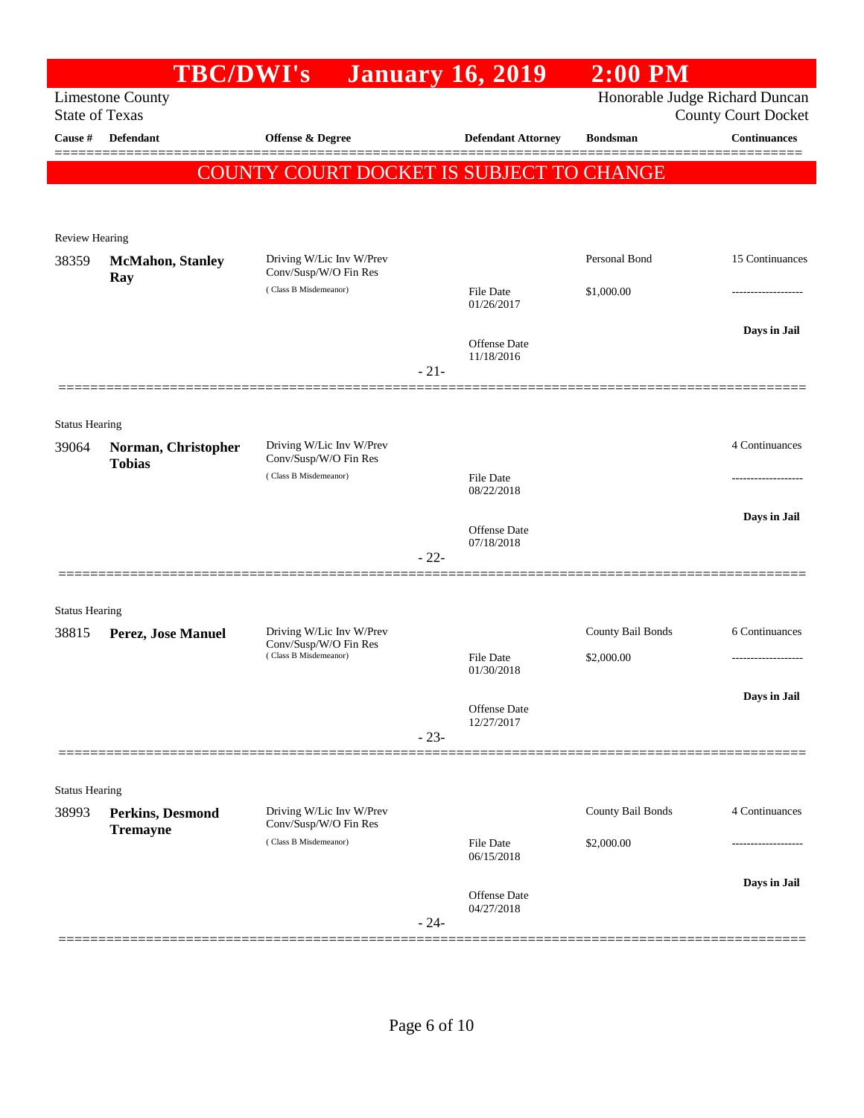|                                | <b>TBC/DWI's</b>                     |                                                                            |        | <b>January 16, 2019</b>        | $2:00$ PM         |                                                              |
|--------------------------------|--------------------------------------|----------------------------------------------------------------------------|--------|--------------------------------|-------------------|--------------------------------------------------------------|
| <b>State of Texas</b>          | <b>Limestone County</b>              |                                                                            |        |                                |                   | Honorable Judge Richard Duncan<br><b>County Court Docket</b> |
| Cause #                        | Defendant                            | Offense & Degree                                                           |        | <b>Defendant Attorney</b>      | <b>Bondsman</b>   | $\label{1.1}$ Continuances                                   |
|                                |                                      | COUNTY COURT DOCKET IS SUBJECT TO CHANGE                                   |        |                                |                   |                                                              |
| <b>Review Hearing</b>          |                                      |                                                                            |        |                                |                   |                                                              |
| 38359                          | <b>McMahon</b> , Stanley<br>Ray      | Driving W/Lic Inv W/Prev<br>Conv/Susp/W/O Fin Res                          |        |                                | Personal Bond     | 15 Continuances                                              |
|                                |                                      | (Class B Misdemeanor)                                                      |        | <b>File Date</b><br>01/26/2017 | \$1,000.00        | ---------------                                              |
|                                |                                      |                                                                            | $-21-$ | Offense Date<br>11/18/2016     |                   | Days in Jail                                                 |
|                                |                                      |                                                                            |        |                                |                   |                                                              |
| <b>Status Hearing</b><br>39064 | Norman, Christopher<br><b>Tobias</b> | Driving W/Lic Inv W/Prev<br>Conv/Susp/W/O Fin Res                          |        |                                |                   | 4 Continuances                                               |
|                                |                                      | (Class B Misdemeanor)                                                      |        | <b>File Date</b><br>08/22/2018 |                   |                                                              |
|                                |                                      |                                                                            | $-22-$ | Offense Date<br>07/18/2018     |                   | Days in Jail                                                 |
|                                |                                      |                                                                            |        |                                |                   |                                                              |
| <b>Status Hearing</b>          |                                      |                                                                            |        |                                | County Bail Bonds | 6 Continuances                                               |
| 38815                          | Perez, Jose Manuel                   | Driving W/Lic Inv W/Prev<br>Conv/Susp/W/O Fin Res<br>(Class B Misdemeanor) |        | <b>File Date</b><br>01/30/2018 | \$2,000.00        |                                                              |
|                                |                                      |                                                                            | $-23-$ | Offense Date<br>12/27/2017     |                   | Days in Jail                                                 |
|                                |                                      |                                                                            |        |                                |                   |                                                              |
| <b>Status Hearing</b><br>38993 | Perkins, Desmond<br><b>Tremayne</b>  | Driving W/Lic Inv W/Prev<br>Conv/Susp/W/O Fin Res                          |        |                                | County Bail Bonds | 4 Continuances                                               |
|                                |                                      | (Class B Misdemeanor)                                                      |        | <b>File Date</b><br>06/15/2018 | \$2,000.00        |                                                              |
|                                |                                      |                                                                            | $-24-$ | Offense Date<br>04/27/2018     |                   | Days in Jail                                                 |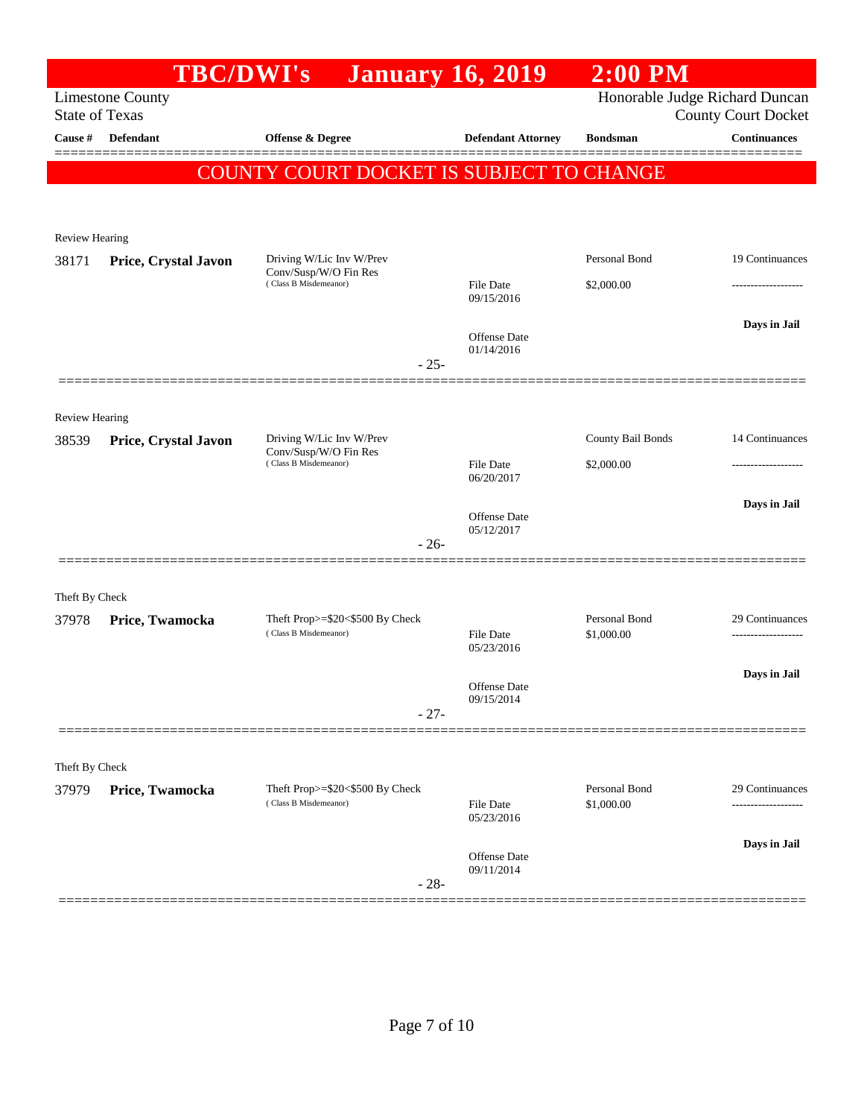|                       |                         | <b>TBC/DWI's</b>                                         | <b>January 16, 2019</b>        | $2:00$ PM                   |                                                   |
|-----------------------|-------------------------|----------------------------------------------------------|--------------------------------|-----------------------------|---------------------------------------------------|
| <b>State of Texas</b> | <b>Limestone County</b> |                                                          |                                |                             | Honorable Judge Richard Duncan                    |
| <b>Cause</b> #        | Defendant               | Offense & Degree                                         | <b>Defendant Attorney</b>      | <b>Bondsman</b>             | <b>County Court Docket</b><br><b>Continuances</b> |
|                       |                         |                                                          |                                |                             |                                                   |
|                       |                         | <b>COUNTY COURT DOCKET IS SUBJECT TO CHANGE</b>          |                                |                             |                                                   |
|                       |                         |                                                          |                                |                             |                                                   |
| <b>Review Hearing</b> |                         |                                                          |                                |                             |                                                   |
| 38171                 | Price, Crystal Javon    | Driving W/Lic Inv W/Prev<br>Conv/Susp/W/O Fin Res        |                                | Personal Bond               | 19 Continuances                                   |
|                       |                         | (Class B Misdemeanor)                                    | <b>File Date</b>               | \$2,000.00                  | ----------------                                  |
|                       |                         |                                                          | 09/15/2016                     |                             |                                                   |
|                       |                         |                                                          | Offense Date                   |                             | Days in Jail                                      |
|                       |                         | $-25-$                                                   | 01/14/2016                     |                             |                                                   |
|                       |                         |                                                          |                                |                             |                                                   |
| <b>Review Hearing</b> |                         |                                                          |                                |                             |                                                   |
| 38539                 | Price, Crystal Javon    | Driving W/Lic Inv W/Prev                                 |                                | County Bail Bonds           | 14 Continuances                                   |
|                       |                         | Conv/Susp/W/O Fin Res<br>(Class B Misdemeanor)           | <b>File Date</b>               | \$2,000.00                  |                                                   |
|                       |                         |                                                          | 06/20/2017                     |                             |                                                   |
|                       |                         |                                                          | Offense Date                   |                             | Days in Jail                                      |
|                       |                         | $-26-$                                                   | 05/12/2017                     |                             |                                                   |
|                       |                         |                                                          |                                |                             |                                                   |
| Theft By Check        |                         |                                                          |                                |                             |                                                   |
| 37978                 | Price, Twamocka         | Theft Prop>=\$20<\$500 By Check                          |                                | Personal Bond               | 29 Continuances                                   |
|                       |                         | (Class B Misdemeanor)                                    | <b>File Date</b><br>05/23/2016 | \$1,000.00                  | ----------------                                  |
|                       |                         |                                                          |                                |                             | Days in Jail                                      |
|                       |                         |                                                          | Offense Date<br>09/15/2014     |                             |                                                   |
|                       |                         | $-27-$                                                   |                                |                             |                                                   |
|                       |                         |                                                          |                                |                             |                                                   |
| Theft By Check        |                         |                                                          |                                |                             |                                                   |
| 37979                 | Price, Twamocka         | Theft Prop>=\$20<\$500 By Check<br>(Class B Misdemeanor) | File Date                      | Personal Bond<br>\$1,000.00 | 29 Continuances                                   |
|                       |                         |                                                          | 05/23/2016                     |                             |                                                   |
|                       |                         |                                                          | Offense Date                   |                             | Days in Jail                                      |
|                       |                         | $-28-$                                                   | 09/11/2014                     |                             |                                                   |
|                       |                         |                                                          |                                |                             |                                                   |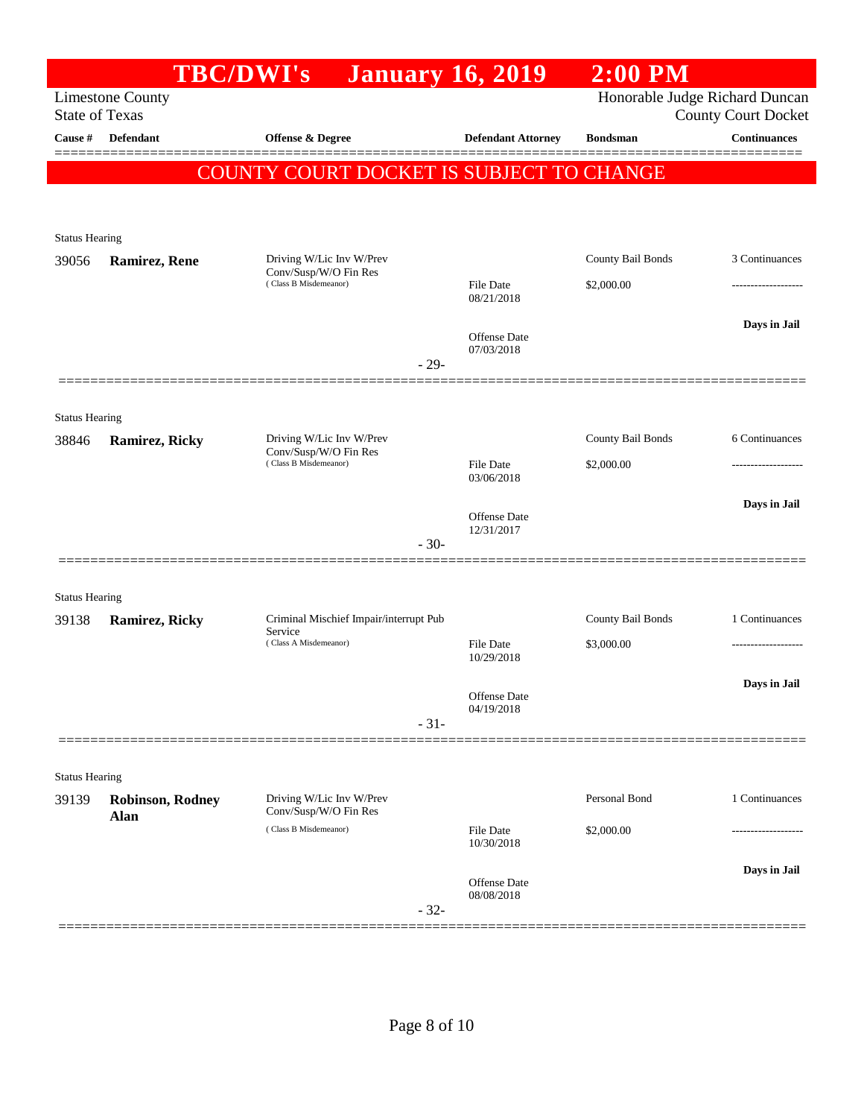|                                |                         | <b>TBC/DWI's</b>                                  | <b>January 16, 2019</b>        | $2:00$ PM         |                                                              |
|--------------------------------|-------------------------|---------------------------------------------------|--------------------------------|-------------------|--------------------------------------------------------------|
| <b>State of Texas</b>          | <b>Limestone County</b> |                                                   |                                |                   | Honorable Judge Richard Duncan<br><b>County Court Docket</b> |
| Cause #                        | <b>Defendant</b>        | <b>Offense &amp; Degree</b>                       | <b>Defendant Attorney</b>      | <b>Bondsman</b>   | <b>Continuances</b>                                          |
|                                |                         | COUNTY COURT DOCKET IS SUBJECT TO CHANGE          |                                |                   |                                                              |
|                                |                         |                                                   |                                |                   |                                                              |
|                                |                         |                                                   |                                |                   |                                                              |
| <b>Status Hearing</b>          |                         |                                                   |                                |                   |                                                              |
| 39056                          | <b>Ramirez, Rene</b>    | Driving W/Lic Inv W/Prev<br>Conv/Susp/W/O Fin Res |                                | County Bail Bonds | 3 Continuances                                               |
|                                |                         | (Class B Misdemeanor)                             | <b>File Date</b><br>08/21/2018 | \$2,000.00        |                                                              |
|                                |                         |                                                   | <b>Offense</b> Date            |                   | Days in Jail                                                 |
|                                |                         |                                                   | 07/03/2018<br>$-29-$           |                   |                                                              |
|                                |                         |                                                   |                                |                   |                                                              |
|                                |                         |                                                   |                                |                   |                                                              |
| <b>Status Hearing</b><br>38846 | <b>Ramirez, Ricky</b>   | Driving W/Lic Inv W/Prev                          |                                | County Bail Bonds | 6 Continuances                                               |
|                                |                         | Conv/Susp/W/O Fin Res<br>(Class B Misdemeanor)    | <b>File Date</b>               | \$2,000.00        | ---------------                                              |
|                                |                         |                                                   | 03/06/2018                     |                   |                                                              |
|                                |                         |                                                   | <b>Offense Date</b>            |                   | Days in Jail                                                 |
|                                |                         |                                                   | 12/31/2017                     |                   |                                                              |
|                                |                         |                                                   | $-30-$                         |                   |                                                              |
| <b>Status Hearing</b>          |                         |                                                   |                                |                   |                                                              |
| 39138                          | <b>Ramirez, Ricky</b>   | Criminal Mischief Impair/interrupt Pub            |                                | County Bail Bonds | 1 Continuances                                               |
|                                |                         | Service<br>(Class A Misdemeanor)                  | <b>File Date</b>               | \$3,000.00        |                                                              |
|                                |                         |                                                   | 10/29/2018                     |                   |                                                              |
|                                |                         |                                                   | Offense Date                   |                   | Days in Jail                                                 |
|                                |                         |                                                   | 04/19/2018<br>$-31-$           |                   |                                                              |
|                                |                         |                                                   |                                |                   |                                                              |
| <b>Status Hearing</b>          |                         |                                                   |                                |                   |                                                              |
| 39139                          | <b>Robinson, Rodney</b> | Driving W/Lic Inv W/Prev                          |                                | Personal Bond     | 1 Continuances                                               |
|                                | Alan                    | Conv/Susp/W/O Fin Res<br>(Class B Misdemeanor)    | <b>File Date</b>               | \$2,000.00        |                                                              |
|                                |                         |                                                   | 10/30/2018                     |                   |                                                              |
|                                |                         |                                                   | Offense Date                   |                   | Days in Jail                                                 |
|                                |                         |                                                   | 08/08/2018                     |                   |                                                              |
|                                |                         |                                                   | $-32-$                         |                   |                                                              |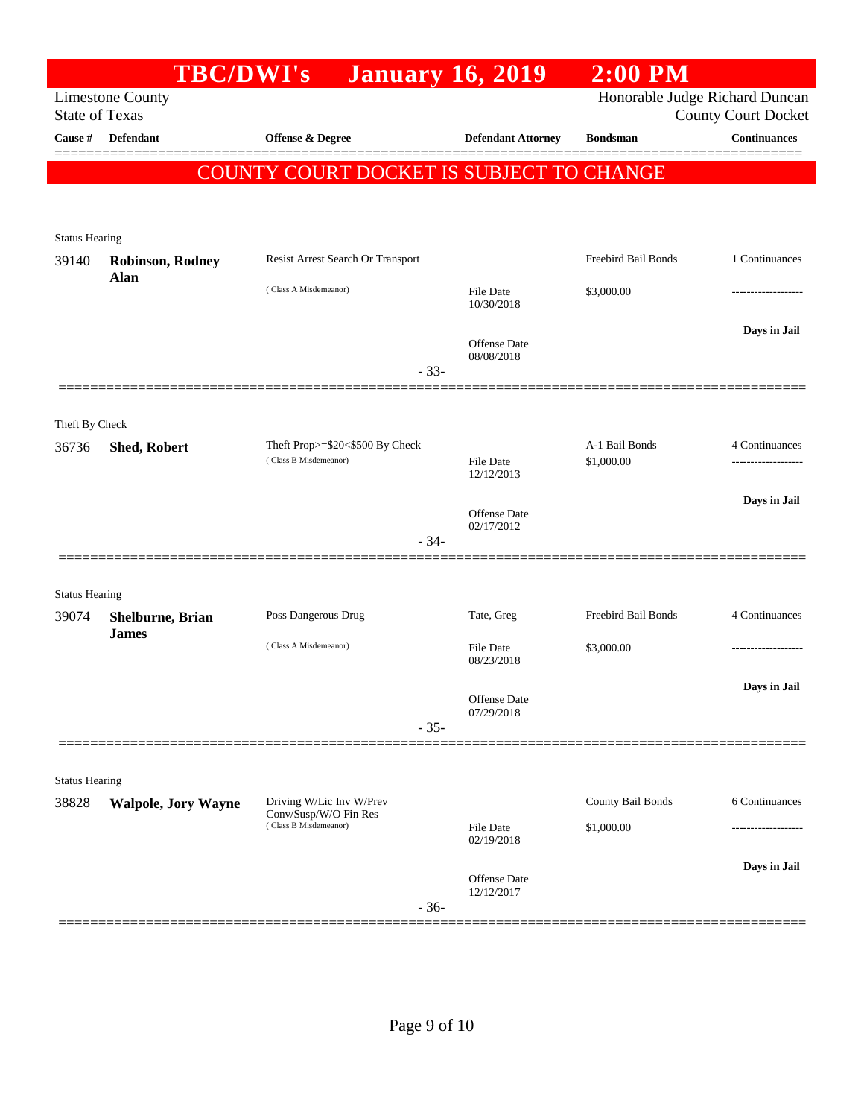|                         |                                  | TBC/DWI's                                         | <b>January 16, 2019</b>           | $2:00$ PM                      |                            |
|-------------------------|----------------------------------|---------------------------------------------------|-----------------------------------|--------------------------------|----------------------------|
| <b>State of Texas</b>   | <b>Limestone County</b>          |                                                   |                                   | Honorable Judge Richard Duncan | <b>County Court Docket</b> |
| Cause #                 | <b>Defendant</b>                 | Offense & Degree                                  | <b>Defendant Attorney</b>         | <b>Bondsman</b>                | <b>Continuances</b>        |
|                         |                                  | <b>COUNTY COURT DOCKET IS SUBJECT TO CHANGE</b>   |                                   |                                |                            |
|                         |                                  |                                                   |                                   |                                |                            |
|                         |                                  |                                                   |                                   |                                |                            |
| <b>Status Hearing</b>   | <b>Robinson, Rodney</b>          | Resist Arrest Search Or Transport                 |                                   | Freebird Bail Bonds            | 1 Continuances             |
| 39140                   | <b>Alan</b>                      |                                                   |                                   |                                |                            |
|                         |                                  | (Class A Misdemeanor)                             | <b>File Date</b><br>10/30/2018    | \$3,000.00                     |                            |
|                         |                                  |                                                   |                                   |                                | Days in Jail               |
|                         |                                  |                                                   | Offense Date<br>08/08/2018        |                                |                            |
|                         |                                  | $-33-$                                            |                                   |                                |                            |
|                         |                                  |                                                   |                                   |                                |                            |
| Theft By Check<br>36736 | <b>Shed, Robert</b>              | Theft Prop>=\$20<\$500 By Check                   |                                   | A-1 Bail Bonds                 | 4 Continuances             |
|                         |                                  | (Class B Misdemeanor)                             | <b>File Date</b><br>12/12/2013    | \$1,000.00                     | -----------------          |
|                         |                                  |                                                   |                                   |                                | Days in Jail               |
|                         |                                  |                                                   | <b>Offense Date</b><br>02/17/2012 |                                |                            |
|                         |                                  | $-34-$                                            |                                   |                                |                            |
|                         |                                  |                                                   |                                   |                                |                            |
| <b>Status Hearing</b>   |                                  |                                                   |                                   |                                |                            |
| 39074                   | Shelburne, Brian<br><b>James</b> | Poss Dangerous Drug                               | Tate, Greg                        | Freebird Bail Bonds            | 4 Continuances             |
|                         |                                  | (Class A Misdemeanor)                             | <b>File Date</b><br>08/23/2018    | \$3,000.00                     | .                          |
|                         |                                  |                                                   |                                   |                                | Days in Jail               |
|                         |                                  |                                                   | Offense Date<br>07/29/2018        |                                |                            |
|                         |                                  | $-35-$                                            |                                   |                                |                            |
|                         |                                  |                                                   |                                   |                                |                            |
| <b>Status Hearing</b>   |                                  |                                                   |                                   |                                |                            |
| 38828                   | <b>Walpole, Jory Wayne</b>       | Driving W/Lic Inv W/Prev<br>Conv/Susp/W/O Fin Res |                                   | County Bail Bonds              | 6 Continuances             |
|                         |                                  | (Class B Misdemeanor)                             | File Date<br>02/19/2018           | \$1,000.00                     |                            |
|                         |                                  |                                                   |                                   |                                | Days in Jail               |
|                         |                                  |                                                   | <b>Offense Date</b><br>12/12/2017 |                                |                            |
|                         |                                  | $-36-$                                            |                                   |                                |                            |